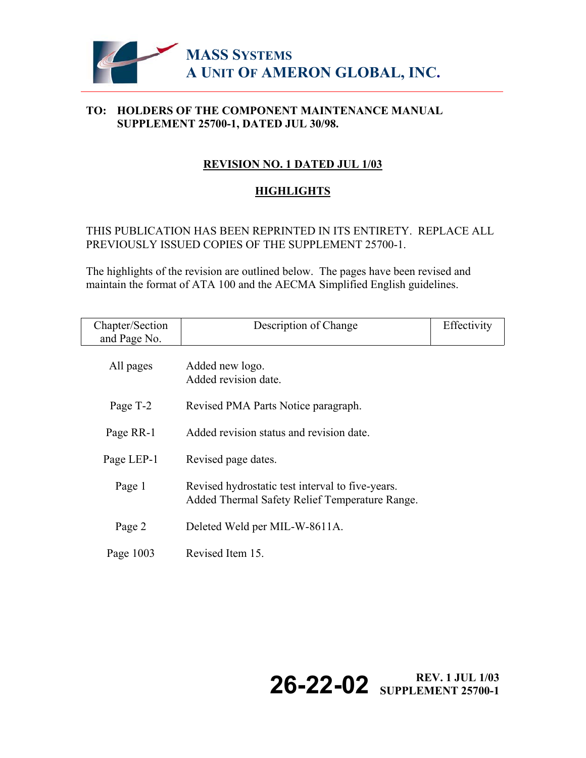

#### **TO: HOLDERS OF THE COMPONENT MAINTENANCE MANUAL SUPPLEMENT 25700-1, DATED JUL 30/98.**

#### **REVISION NO. 1 DATED JUL 1/03**

#### **HIGHLIGHTS**

#### THIS PUBLICATION HAS BEEN REPRINTED IN ITS ENTIRETY. REPLACE ALL PREVIOUSLY ISSUED COPIES OF THE SUPPLEMENT 25700-1.

The highlights of the revision are outlined below. The pages have been revised and maintain the format of ATA 100 and the AECMA Simplified English guidelines.

| Chapter/Section<br>and Page No. | Description of Change                                                                              | Effectivity |
|---------------------------------|----------------------------------------------------------------------------------------------------|-------------|
| All pages                       | Added new logo.<br>Added revision date.                                                            |             |
| Page T-2                        | Revised PMA Parts Notice paragraph.                                                                |             |
| Page RR-1                       | Added revision status and revision date.                                                           |             |
| Page LEP-1                      | Revised page dates.                                                                                |             |
| Page 1                          | Revised hydrostatic test interval to five-years.<br>Added Thermal Safety Relief Temperature Range. |             |
| Page 2                          | Deleted Weld per MIL-W-8611A.                                                                      |             |
| Page 1003                       | Revised Item 15.                                                                                   |             |

**26-22-02 REV. 1 JUL 1/03 SUPPLEMENT 25700-1**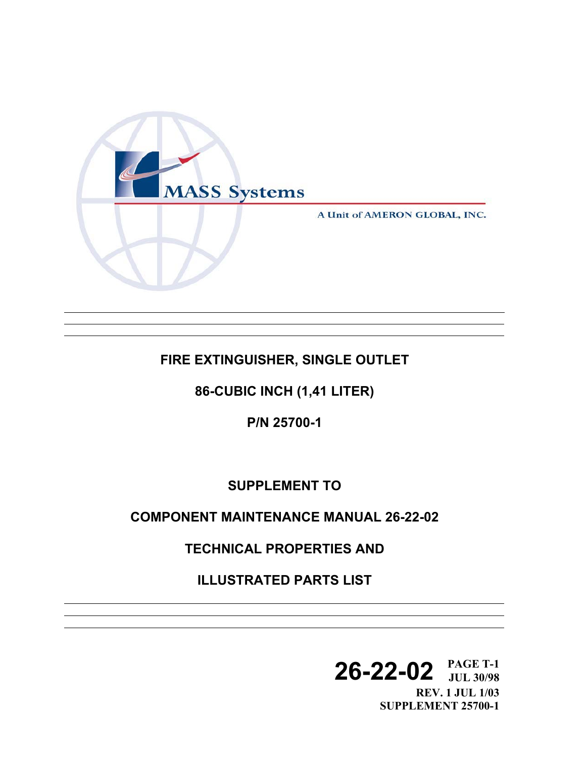

## **FIRE EXTINGUISHER, SINGLE OUTLET**

**86-CUBIC INCH (1,41 LITER)** 

**P/N 25700-1** 

**SUPPLEMENT TO** 

### **COMPONENT MAINTENANCE MANUAL 26-22-02**

**TECHNICAL PROPERTIES AND** 

**ILLUSTRATED PARTS LIST** 

**26-22-02 PAGE T-1 JUL 30/98 REV. 1 JUL 1/03 SUPPLEMENT 25700-1**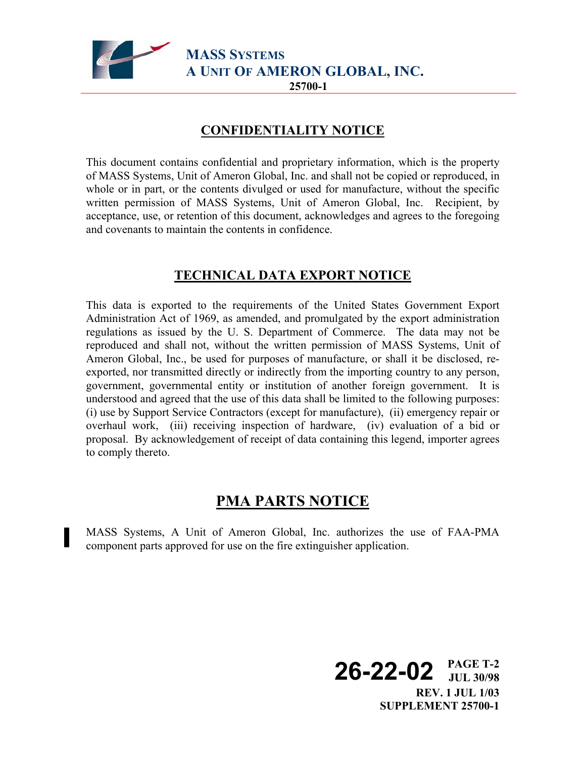

#### **CONFIDENTIALITY NOTICE**

This document contains confidential and proprietary information, which is the property of MASS Systems, Unit of Ameron Global, Inc. and shall not be copied or reproduced, in whole or in part, or the contents divulged or used for manufacture, without the specific written permission of MASS Systems, Unit of Ameron Global, Inc. Recipient, by acceptance, use, or retention of this document, acknowledges and agrees to the foregoing and covenants to maintain the contents in confidence.

#### **TECHNICAL DATA EXPORT NOTICE**

This data is exported to the requirements of the United States Government Export Administration Act of 1969, as amended, and promulgated by the export administration regulations as issued by the U. S. Department of Commerce. The data may not be reproduced and shall not, without the written permission of MASS Systems, Unit of Ameron Global, Inc., be used for purposes of manufacture, or shall it be disclosed, reexported, nor transmitted directly or indirectly from the importing country to any person, government, governmental entity or institution of another foreign government. It is understood and agreed that the use of this data shall be limited to the following purposes: (i) use by Support Service Contractors (except for manufacture), (ii) emergency repair or overhaul work, (iii) receiving inspection of hardware, (iv) evaluation of a bid or proposal. By acknowledgement of receipt of data containing this legend, importer agrees to comply thereto.

# **PMA PARTS NOTICE**

MASS Systems, A Unit of Ameron Global, Inc. authorizes the use of FAA-PMA component parts approved for use on the fire extinguisher application.

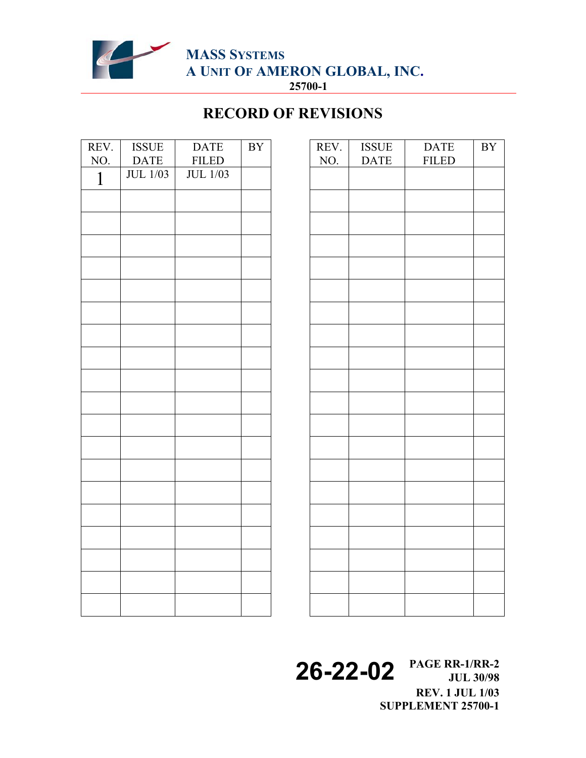

## **RECORD OF REVISIONS**

| REV.<br>NO. | <b>ISSUE</b><br><b>DATE</b> | <b>DATE</b><br><b>FILED</b> | <b>BY</b> |
|-------------|-----------------------------|-----------------------------|-----------|
| $\mathbf 1$ | <b>JUL 1/03</b>             | <b>JUL 1/03</b>             |           |
|             |                             |                             |           |
|             |                             |                             |           |
|             |                             |                             |           |
|             |                             |                             |           |
|             |                             |                             |           |
|             |                             |                             |           |
|             |                             |                             |           |
|             |                             |                             |           |
|             |                             |                             |           |
|             |                             |                             |           |
|             |                             |                             |           |
|             |                             |                             |           |
|             |                             |                             |           |
|             |                             |                             |           |
|             |                             |                             |           |
|             |                             |                             |           |
|             |                             |                             |           |
|             |                             |                             |           |
|             |                             |                             |           |
|             |                             |                             |           |
|             |                             |                             |           |
|             |                             |                             |           |

| $\overline{\text{BY}}$ |             | <b>ISSUE</b> | <b>DATE</b>  | $\overline{\rm BY}$ |
|------------------------|-------------|--------------|--------------|---------------------|
|                        | REV.<br>NO. | <b>DATE</b>  | <b>FILED</b> |                     |
|                        |             |              |              |                     |
|                        |             |              |              |                     |
|                        |             |              |              |                     |
|                        |             |              |              |                     |
|                        |             |              |              |                     |
|                        |             |              |              |                     |
|                        |             |              |              |                     |
|                        |             |              |              |                     |
|                        |             |              |              |                     |
|                        |             |              |              |                     |
|                        |             |              |              |                     |
|                        |             |              |              |                     |
|                        |             |              |              |                     |
|                        |             |              |              |                     |
|                        |             |              |              |                     |
|                        |             |              |              |                     |
|                        |             |              |              |                     |
|                        |             |              |              |                     |
|                        |             |              |              |                     |
|                        |             |              |              |                     |
|                        |             |              |              |                     |
|                        |             |              |              |                     |
|                        |             |              |              |                     |
|                        |             |              |              |                     |
|                        |             |              |              |                     |
|                        |             |              |              |                     |
|                        |             |              |              |                     |
|                        |             |              |              |                     |
|                        |             |              |              |                     |
|                        |             |              |              |                     |
|                        |             |              |              |                     |
|                        |             |              |              |                     |
|                        |             |              |              |                     |
|                        |             |              |              |                     |

**26-22-02 PAGE RR-1/RR-2 JUL 30/98 REV. 1 JUL 1/03 SUPPLEMENT 25700-1**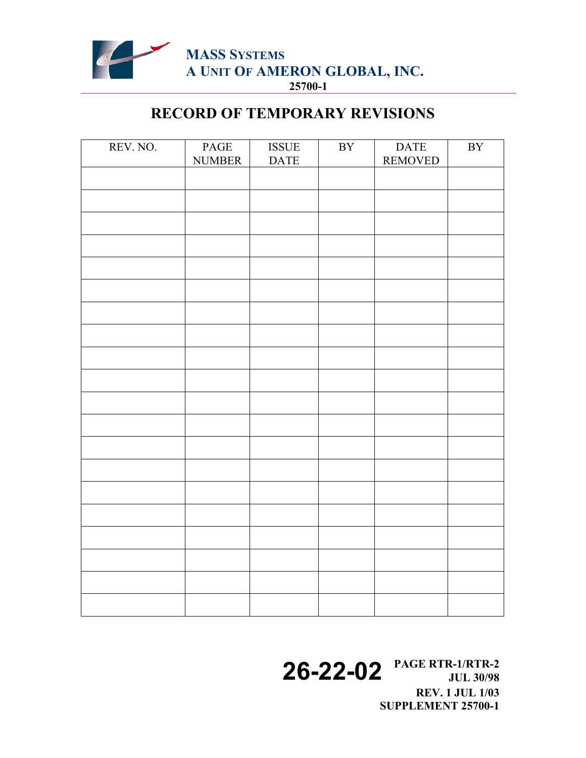

## **RECORD OF TEMPORARY REVISIONS**

| REV. NO. | $\overline{\mathsf{PAGE}}$ | <b>ISSUE</b> | BY | <b>DATE</b>    | $\rm BY$ |
|----------|----------------------------|--------------|----|----------------|----------|
|          | <b>NUMBER</b>              | <b>DATE</b>  |    | <b>REMOVED</b> |          |
|          |                            |              |    |                |          |
|          |                            |              |    |                |          |
|          |                            |              |    |                |          |
|          |                            |              |    |                |          |
|          |                            |              |    |                |          |
|          |                            |              |    |                |          |
|          |                            |              |    |                |          |
|          |                            |              |    |                |          |
|          |                            |              |    |                |          |
|          |                            |              |    |                |          |
|          |                            |              |    |                |          |
|          |                            |              |    |                |          |
|          |                            |              |    |                |          |
|          |                            |              |    |                |          |
|          |                            |              |    |                |          |
|          |                            |              |    |                |          |
|          |                            |              |    |                |          |
|          |                            |              |    |                |          |
|          |                            |              |    |                |          |
|          |                            |              |    |                |          |
|          |                            |              |    |                |          |
|          |                            |              |    |                |          |
|          |                            |              |    |                |          |
|          |                            |              |    |                |          |
|          |                            |              |    |                |          |
|          |                            |              |    |                |          |

**26-22-02 PAGE RTR-1/RTR-2 JUL 30/98 REV. 1 JUL 1/03 SUPPLEMENT 25700-1**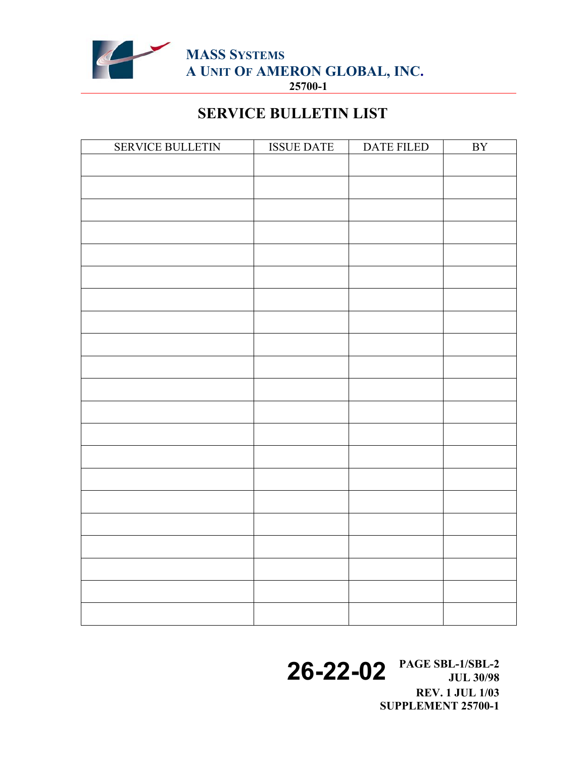

# **SERVICE BULLETIN LIST**

| <b>SERVICE BULLETIN</b> | <b>ISSUE DATE</b> | DATE FILED | BY |
|-------------------------|-------------------|------------|----|
|                         |                   |            |    |
|                         |                   |            |    |
|                         |                   |            |    |
|                         |                   |            |    |
|                         |                   |            |    |
|                         |                   |            |    |
|                         |                   |            |    |
|                         |                   |            |    |
|                         |                   |            |    |
|                         |                   |            |    |
|                         |                   |            |    |
|                         |                   |            |    |
|                         |                   |            |    |
|                         |                   |            |    |
|                         |                   |            |    |
|                         |                   |            |    |
|                         |                   |            |    |
|                         |                   |            |    |
|                         |                   |            |    |
|                         |                   |            |    |
|                         |                   |            |    |
|                         |                   |            |    |
|                         |                   |            |    |
|                         |                   |            |    |

**26-22-02 PAGE SBL-1/SBL-2 JUL 30/98 REV. 1 JUL 1/03 SUPPLEMENT 25700-1**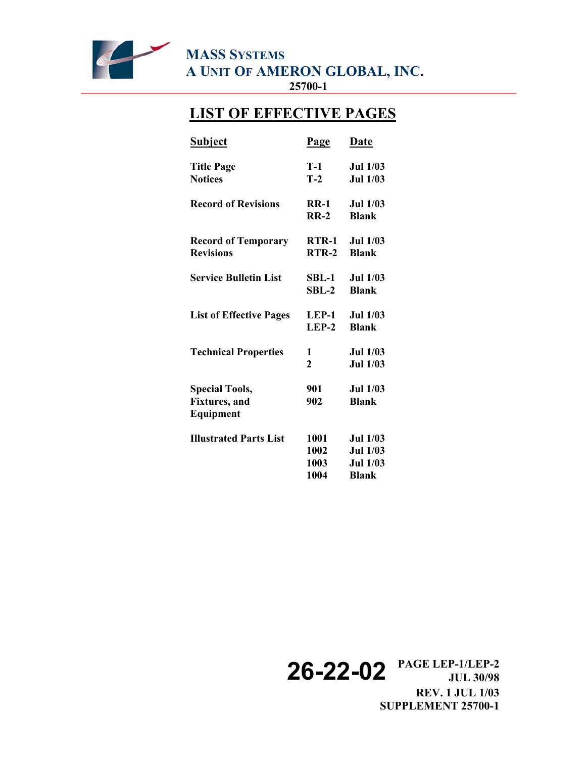

**MASS SYSTEMS A UNIT OF AMERON GLOBAL, INC.**

**25700-1**

# **LIST OF EFFECTIVE PAGES**

| <u>Subject</u>                                              | Page                         | <u>Date</u>                                                           |
|-------------------------------------------------------------|------------------------------|-----------------------------------------------------------------------|
| <b>Title Page</b><br><b>Notices</b>                         | $T-1$<br>$T-2$               | <b>Jul 1/03</b><br><b>Jul 1/03</b>                                    |
| <b>Record of Revisions</b>                                  | $RR-1$<br>$RR-2$             | <b>Jul 1/03</b><br><b>Blank</b>                                       |
| <b>Record of Temporary</b><br><b>Revisions</b>              | RTR-1<br>$RTR-2$             | <b>Jul 1/03</b><br><b>Blank</b>                                       |
| <b>Service Bulletin List</b>                                | SBL-1<br>$SBL-2$             | <b>Jul 1/03</b><br><b>Blank</b>                                       |
| <b>List of Effective Pages</b>                              | LEP-1<br>$LEP-2$             | <b>Jul 1/03</b><br><b>Blank</b>                                       |
| <b>Technical Properties</b>                                 | 1<br>$\overline{2}$          | <b>Jul 1/03</b><br><b>Jul 1/03</b>                                    |
| <b>Special Tools,</b><br><b>Fixtures</b> , and<br>Equipment | 901<br>902                   | <b>Jul 1/03</b><br><b>Blank</b>                                       |
| <b>Illustrated Parts List</b>                               | 1001<br>1002<br>1003<br>1004 | <b>Jul 1/03</b><br><b>Jul 1/03</b><br><b>Jul 1/03</b><br><b>Blank</b> |

**26-22-02 PAGE LEP-1/LEP-2 JUL 30/98 REV. 1 JUL 1/03 SUPPLEMENT 25700-1**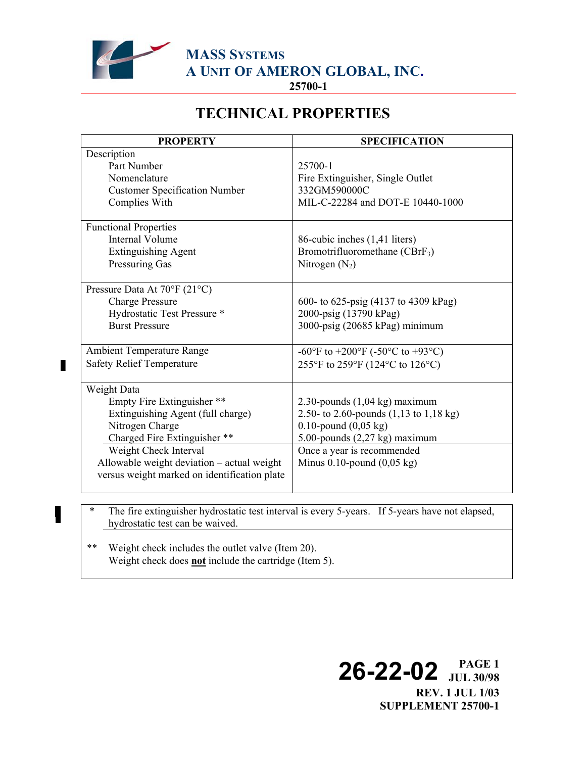

## **TECHNICAL PROPERTIES**

| <b>PROPERTY</b>                                                                                                                                                                                                                                          | <b>SPECIFICATION</b>                                                                                                                                                                                                                       |
|----------------------------------------------------------------------------------------------------------------------------------------------------------------------------------------------------------------------------------------------------------|--------------------------------------------------------------------------------------------------------------------------------------------------------------------------------------------------------------------------------------------|
| Description<br>Part Number<br>Nomenclature<br><b>Customer Specification Number</b><br>Complies With                                                                                                                                                      | 25700-1<br>Fire Extinguisher, Single Outlet<br>332GM590000C<br>MIL-C-22284 and DOT-E 10440-1000                                                                                                                                            |
| <b>Functional Properties</b><br><b>Internal Volume</b><br><b>Extinguishing Agent</b><br>Pressuring Gas                                                                                                                                                   | 86-cubic inches (1,41 liters)<br>Bromotrifluoromethane (CBrF <sub>3</sub> )<br>Nitrogen $(N_2)$                                                                                                                                            |
| Pressure Data At $70^{\circ}$ F (21°C)<br><b>Charge Pressure</b><br>Hydrostatic Test Pressure *<br><b>Burst Pressure</b>                                                                                                                                 | 600- to 625-psig (4137 to 4309 kPag)<br>2000-psig (13790 kPag)<br>3000-psig (20685 kPag) minimum                                                                                                                                           |
| <b>Ambient Temperature Range</b><br><b>Safety Relief Temperature</b>                                                                                                                                                                                     | -60°F to +200°F (-50°C to +93°C)<br>255°F to 259°F (124°C to 126°C)                                                                                                                                                                        |
| Weight Data<br>Empty Fire Extinguisher **<br>Extinguishing Agent (full charge)<br>Nitrogen Charge<br>Charged Fire Extinguisher **<br>Weight Check Interval<br>Allowable weight deviation - actual weight<br>versus weight marked on identification plate | 2.30-pounds $(1,04 \text{ kg})$ maximum<br>2.50- to 2.60-pounds (1,13 to 1,18 kg)<br>$0.10$ -pound $(0.05 \text{ kg})$<br>5.00-pounds $(2,27 \text{ kg})$ maximum<br>Once a year is recommended<br>Minus $0.10$ -pound $(0.05 \text{ kg})$ |

The fire extinguisher hydrostatic test interval is every 5-years. If 5-years have not elapsed, hydrostatic test can be waived.

\*\* Weight check includes the outlet valve (Item 20). Weight check does **not** include the cartridge (Item 5).

П

**26-22-02** JUL 30/98 **JUL 30/98 REV. 1 JUL 1/03 SUPPLEMENT 25700-1**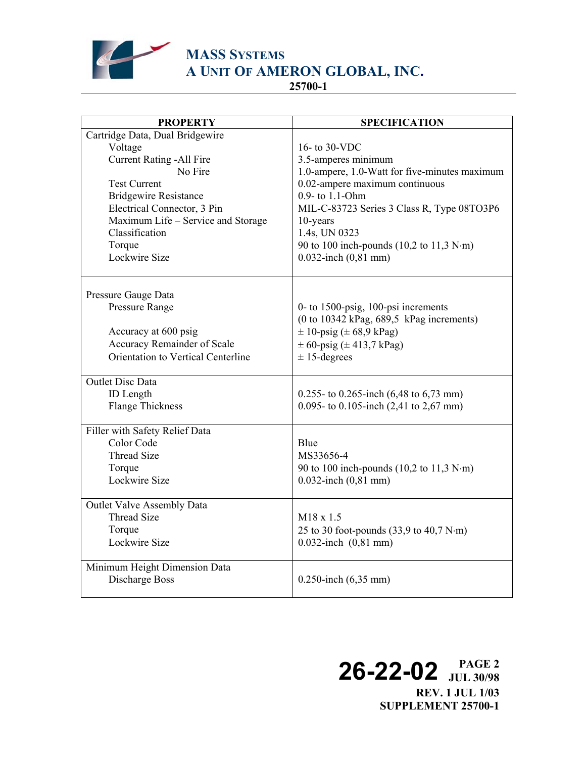

## **MASS SYSTEMS A UNIT OF AMERON GLOBAL, INC.**

**25700-1**

| <b>PROPERTY</b>                    | <b>SPECIFICATION</b>                                                               |
|------------------------------------|------------------------------------------------------------------------------------|
| Cartridge Data, Dual Bridgewire    |                                                                                    |
| Voltage                            | 16- to 30-VDC                                                                      |
| <b>Current Rating - All Fire</b>   | 3.5-amperes minimum                                                                |
| No Fire                            | 1.0-ampere, 1.0-Watt for five-minutes maximum                                      |
| <b>Test Current</b>                | 0.02-ampere maximum continuous                                                     |
| <b>Bridgewire Resistance</b>       | 0.9- to 1.1-Ohm                                                                    |
| Electrical Connector, 3 Pin        | MIL-C-83723 Series 3 Class R, Type 08TO3P6                                         |
| Maximum Life - Service and Storage | 10-years                                                                           |
| Classification                     | 1.4s, UN 0323                                                                      |
| Torque                             | 90 to 100 inch-pounds (10,2 to 11,3 N·m)                                           |
| Lockwire Size                      | $0.032$ -inch $(0.81$ mm)                                                          |
| Pressure Gauge Data                |                                                                                    |
| Pressure Range                     | 0- to 1500-psig, 100-psi increments<br>$(0 to 10342 kPag, 689, 5 kPag increments)$ |
| Accuracy at 600 psig               | $\pm$ 10-psig ( $\pm$ 68,9 kPag)                                                   |
| Accuracy Remainder of Scale        | $\pm$ 60-psig ( $\pm$ 413,7 kPag)                                                  |
| Orientation to Vertical Centerline | $± 15-degrees$                                                                     |
|                                    |                                                                                    |
| <b>Outlet Disc Data</b>            |                                                                                    |
| ID Length                          | 0.255- to 0.265-inch $(6,48 \text{ to } 6,73 \text{ mm})$                          |
| <b>Flange Thickness</b>            | 0.095- to 0.105-inch $(2,41$ to 2,67 mm)                                           |
| Filler with Safety Relief Data     |                                                                                    |
| Color Code                         | Blue                                                                               |
| <b>Thread Size</b>                 | MS33656-4                                                                          |
| Torque                             | 90 to 100 inch-pounds (10,2 to 11,3 N·m)                                           |
| Lockwire Size                      | $0.032$ -inch $(0, 81$ mm)                                                         |
| Outlet Valve Assembly Data         |                                                                                    |
| <b>Thread Size</b>                 | M18 x 1.5                                                                          |
| Torque                             | 25 to 30 foot-pounds (33,9 to 40,7 N·m)                                            |
| Lockwire Size                      | $0.032$ -inch $(0, 81$ mm)                                                         |
| Minimum Height Dimension Data      |                                                                                    |
| Discharge Boss                     | $0.250$ -inch $(6,35$ mm)                                                          |
|                                    |                                                                                    |

**26-22-02** JUL 30/98 **JUL 30/98 REV. 1 JUL 1/03 SUPPLEMENT 25700-1**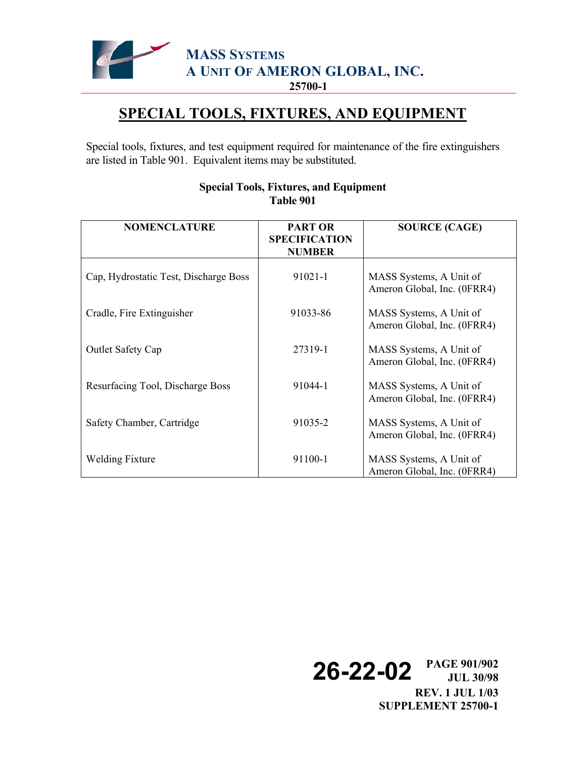

## **SPECIAL TOOLS, FIXTURES, AND EQUIPMENT**

Special tools, fixtures, and test equipment required for maintenance of the fire extinguishers are listed in Table 901. Equivalent items may be substituted.

| <b>NOMENCLATURE</b>                   | <b>PART OR</b><br><b>SPECIFICATION</b><br><b>NUMBER</b> | <b>SOURCE (CAGE)</b>                                   |
|---------------------------------------|---------------------------------------------------------|--------------------------------------------------------|
| Cap, Hydrostatic Test, Discharge Boss | 91021-1                                                 | MASS Systems, A Unit of<br>Ameron Global, Inc. (0FRR4) |
| Cradle, Fire Extinguisher             | 91033-86                                                | MASS Systems, A Unit of<br>Ameron Global, Inc. (0FRR4) |
| <b>Outlet Safety Cap</b>              | 27319-1                                                 | MASS Systems, A Unit of<br>Ameron Global, Inc. (0FRR4) |
| Resurfacing Tool, Discharge Boss      | 91044-1                                                 | MASS Systems, A Unit of<br>Ameron Global, Inc. (0FRR4) |
| Safety Chamber, Cartridge             | 91035-2                                                 | MASS Systems, A Unit of<br>Ameron Global, Inc. (0FRR4) |
| <b>Welding Fixture</b>                | 91100-1                                                 | MASS Systems, A Unit of<br>Ameron Global, Inc. (0FRR4) |

#### **Special Tools, Fixtures, and Equipment Table 901**

**26-22-02** PAGE 901/902 **JUL 30/98 REV. 1 JUL 1/03 SUPPLEMENT 25700-1**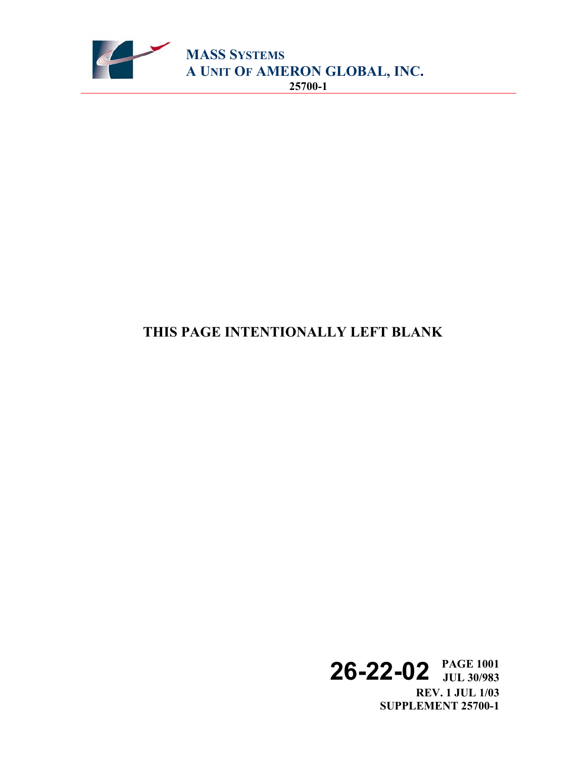

# **THIS PAGE INTENTIONALLY LEFT BLANK**

**26-22-02** PAGE 1001 **JUL 30/983 REV. 1 JUL 1/03 SUPPLEMENT 25700-1**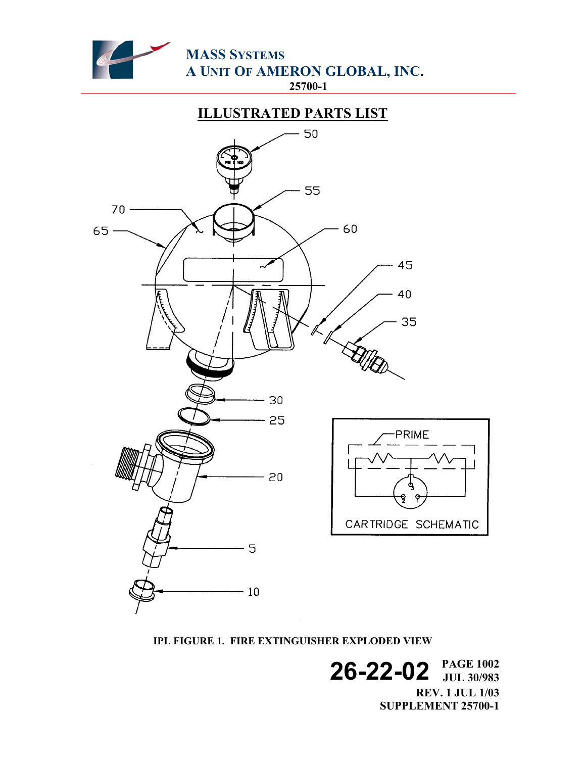

**ILLUSTRATED PARTS LIST**



**IPL FIGURE 1. FIRE EXTINGUISHER EXPLODED VIEW**

**26-22-02 PAGE 1002 JUL 30/983 REV. 1 JUL 1/03 SUPPLEMENT 25700-1**